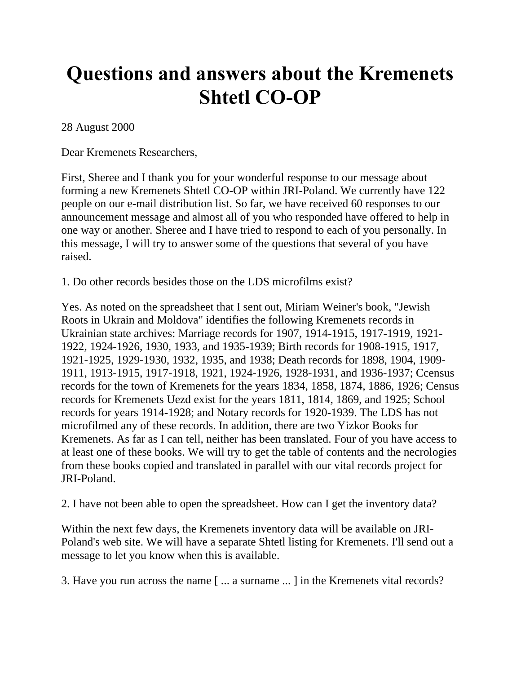## **Questions and answers about the Kremenets Shtetl CO-OP**

28 August 2000

Dear Kremenets Researchers,

First, Sheree and I thank you for your wonderful response to our message about forming a new Kremenets Shtetl CO-OP within JRI-Poland. We currently have 122 people on our e-mail distribution list. So far, we have received 60 responses to our announcement message and almost all of you who responded have offered to help in one way or another. Sheree and I have tried to respond to each of you personally. In this message, I will try to answer some of the questions that several of you have raised.

1. Do other records besides those on the LDS microfilms exist?

Yes. As noted on the spreadsheet that I sent out, Miriam Weiner's book, "Jewish Roots in Ukrain and Moldova" identifies the following Kremenets records in Ukrainian state archives: Marriage records for 1907, 1914-1915, 1917-1919, 1921- 1922, 1924-1926, 1930, 1933, and 1935-1939; Birth records for 1908-1915, 1917, 1921-1925, 1929-1930, 1932, 1935, and 1938; Death records for 1898, 1904, 1909- 1911, 1913-1915, 1917-1918, 1921, 1924-1926, 1928-1931, and 1936-1937; Ccensus records for the town of Kremenets for the years 1834, 1858, 1874, 1886, 1926; Census records for Kremenets Uezd exist for the years 1811, 1814, 1869, and 1925; School records for years 1914-1928; and Notary records for 1920-1939. The LDS has not microfilmed any of these records. In addition, there are two Yizkor Books for Kremenets. As far as I can tell, neither has been translated. Four of you have access to at least one of these books. We will try to get the table of contents and the necrologies from these books copied and translated in parallel with our vital records project for JRI-Poland.

2. I have not been able to open the spreadsheet. How can I get the inventory data?

Within the next few days, the Kremenets inventory data will be available on JRI-Poland's web site. We will have a separate Shtetl listing for Kremenets. I'll send out a message to let you know when this is available.

3. Have you run across the name [ ... a surname ... ] in the Kremenets vital records?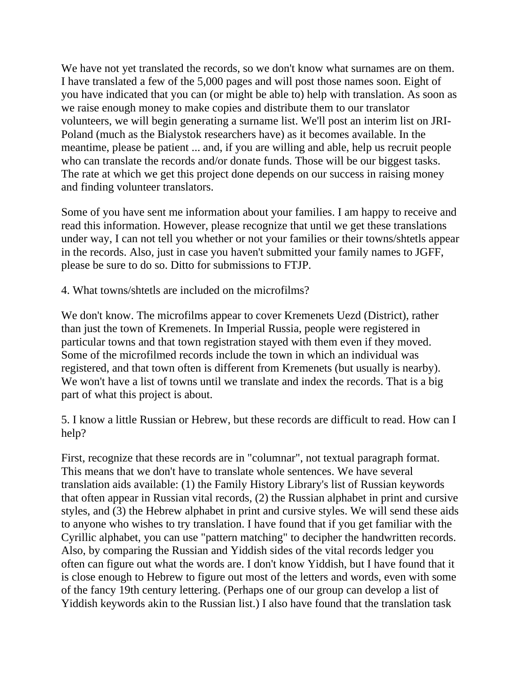We have not yet translated the records, so we don't know what surnames are on them. I have translated a few of the 5,000 pages and will post those names soon. Eight of you have indicated that you can (or might be able to) help with translation. As soon as we raise enough money to make copies and distribute them to our translator volunteers, we will begin generating a surname list. We'll post an interim list on JRI-Poland (much as the Bialystok researchers have) as it becomes available. In the meantime, please be patient ... and, if you are willing and able, help us recruit people who can translate the records and/or donate funds. Those will be our biggest tasks. The rate at which we get this project done depends on our success in raising money and finding volunteer translators.

Some of you have sent me information about your families. I am happy to receive and read this information. However, please recognize that until we get these translations under way, I can not tell you whether or not your families or their towns/shtetls appear in the records. Also, just in case you haven't submitted your family names to JGFF, please be sure to do so. Ditto for submissions to FTJP.

4. What towns/shtetls are included on the microfilms?

We don't know. The microfilms appear to cover Kremenets Uezd (District), rather than just the town of Kremenets. In Imperial Russia, people were registered in particular towns and that town registration stayed with them even if they moved. Some of the microfilmed records include the town in which an individual was registered, and that town often is different from Kremenets (but usually is nearby). We won't have a list of towns until we translate and index the records. That is a big part of what this project is about.

5. I know a little Russian or Hebrew, but these records are difficult to read. How can I help?

First, recognize that these records are in "columnar", not textual paragraph format. This means that we don't have to translate whole sentences. We have several translation aids available: (1) the Family History Library's list of Russian keywords that often appear in Russian vital records, (2) the Russian alphabet in print and cursive styles, and (3) the Hebrew alphabet in print and cursive styles. We will send these aids to anyone who wishes to try translation. I have found that if you get familiar with the Cyrillic alphabet, you can use "pattern matching" to decipher the handwritten records. Also, by comparing the Russian and Yiddish sides of the vital records ledger you often can figure out what the words are. I don't know Yiddish, but I have found that it is close enough to Hebrew to figure out most of the letters and words, even with some of the fancy 19th century lettering. (Perhaps one of our group can develop a list of Yiddish keywords akin to the Russian list.) I also have found that the translation task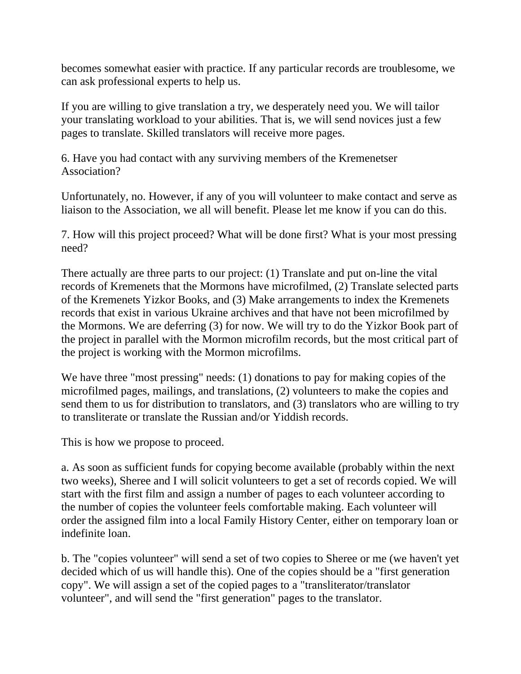becomes somewhat easier with practice. If any particular records are troublesome, we can ask professional experts to help us.

If you are willing to give translation a try, we desperately need you. We will tailor your translating workload to your abilities. That is, we will send novices just a few pages to translate. Skilled translators will receive more pages.

6. Have you had contact with any surviving members of the Kremenetser Association?

Unfortunately, no. However, if any of you will volunteer to make contact and serve as liaison to the Association, we all will benefit. Please let me know if you can do this.

7. How will this project proceed? What will be done first? What is your most pressing need?

There actually are three parts to our project: (1) Translate and put on-line the vital records of Kremenets that the Mormons have microfilmed, (2) Translate selected parts of the Kremenets Yizkor Books, and (3) Make arrangements to index the Kremenets records that exist in various Ukraine archives and that have not been microfilmed by the Mormons. We are deferring (3) for now. We will try to do the Yizkor Book part of the project in parallel with the Mormon microfilm records, but the most critical part of the project is working with the Mormon microfilms.

We have three "most pressing" needs: (1) donations to pay for making copies of the microfilmed pages, mailings, and translations, (2) volunteers to make the copies and send them to us for distribution to translators, and (3) translators who are willing to try to transliterate or translate the Russian and/or Yiddish records.

This is how we propose to proceed.

a. As soon as sufficient funds for copying become available (probably within the next two weeks), Sheree and I will solicit volunteers to get a set of records copied. We will start with the first film and assign a number of pages to each volunteer according to the number of copies the volunteer feels comfortable making. Each volunteer will order the assigned film into a local Family History Center, either on temporary loan or indefinite loan.

b. The "copies volunteer" will send a set of two copies to Sheree or me (we haven't yet decided which of us will handle this). One of the copies should be a "first generation copy". We will assign a set of the copied pages to a "transliterator/translator volunteer", and will send the "first generation" pages to the translator.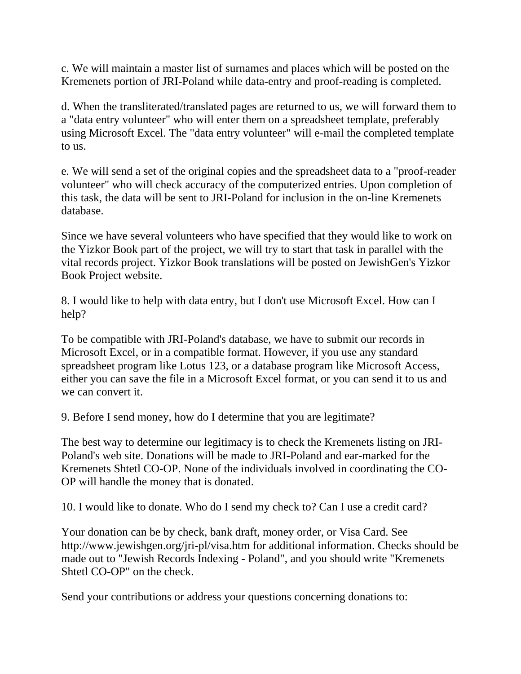c. We will maintain a master list of surnames and places which will be posted on the Kremenets portion of JRI-Poland while data-entry and proof-reading is completed.

d. When the transliterated/translated pages are returned to us, we will forward them to a "data entry volunteer" who will enter them on a spreadsheet template, preferably using Microsoft Excel. The "data entry volunteer" will e-mail the completed template to us.

e. We will send a set of the original copies and the spreadsheet data to a "proof-reader volunteer" who will check accuracy of the computerized entries. Upon completion of this task, the data will be sent to JRI-Poland for inclusion in the on-line Kremenets database.

Since we have several volunteers who have specified that they would like to work on the Yizkor Book part of the project, we will try to start that task in parallel with the vital records project. Yizkor Book translations will be posted on JewishGen's Yizkor Book Project website.

8. I would like to help with data entry, but I don't use Microsoft Excel. How can I help?

To be compatible with JRI-Poland's database, we have to submit our records in Microsoft Excel, or in a compatible format. However, if you use any standard spreadsheet program like Lotus 123, or a database program like Microsoft Access, either you can save the file in a Microsoft Excel format, or you can send it to us and we can convert it.

9. Before I send money, how do I determine that you are legitimate?

The best way to determine our legitimacy is to check the Kremenets listing on JRI-Poland's web site. Donations will be made to JRI-Poland and ear-marked for the Kremenets Shtetl CO-OP. None of the individuals involved in coordinating the CO-OP will handle the money that is donated.

10. I would like to donate. Who do I send my check to? Can I use a credit card?

Your donation can be by check, bank draft, money order, or Visa Card. See http://www.jewishgen.org/jri-pl/visa.htm for additional information. Checks should be made out to "Jewish Records Indexing - Poland", and you should write "Kremenets Shtetl CO-OP" on the check.

Send your contributions or address your questions concerning donations to: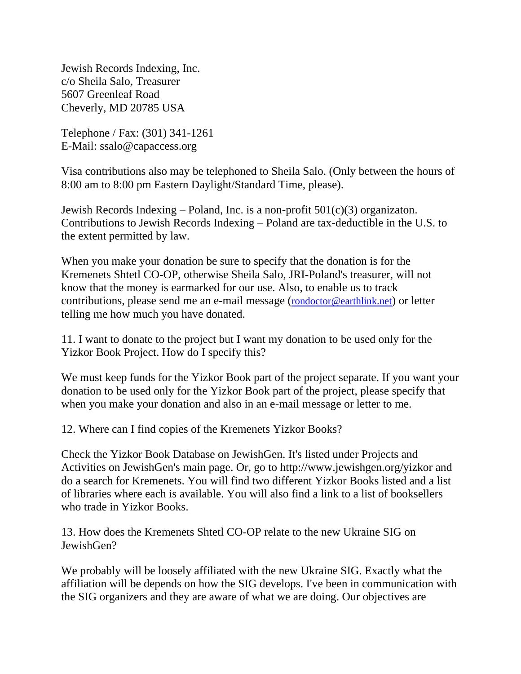Jewish Records Indexing, Inc. c/o Sheila Salo, Treasurer 5607 Greenleaf Road Cheverly, MD 20785 USA

Telephone / Fax: (301) 341-1261 E-Mail: ssalo@capaccess.org

Visa contributions also may be telephoned to Sheila Salo. (Only between the hours of 8:00 am to 8:00 pm Eastern Daylight/Standard Time, please).

Jewish Records Indexing – Poland, Inc. is a non-profit 501(c)(3) organizaton. Contributions to Jewish Records Indexing – Poland are tax-deductible in the U.S. to the extent permitted by law.

When you make your donation be sure to specify that the donation is for the Kremenets Shtetl CO-OP, otherwise Sheila Salo, JRI-Poland's treasurer, will not know that the money is earmarked for our use. Also, to enable us to track contributions, please send me an e-mail message ([rondoctor@earthlink.net](mailto:rondoctor@earthlink.net)) or letter telling me how much you have donated.

11. I want to donate to the project but I want my donation to be used only for the Yizkor Book Project. How do I specify this?

We must keep funds for the Yizkor Book part of the project separate. If you want your donation to be used only for the Yizkor Book part of the project, please specify that when you make your donation and also in an e-mail message or letter to me.

12. Where can I find copies of the Kremenets Yizkor Books?

Check the Yizkor Book Database on JewishGen. It's listed under Projects and Activities on JewishGen's main page. Or, go to http://www.jewishgen.org/yizkor and do a search for Kremenets. You will find two different Yizkor Books listed and a list of libraries where each is available. You will also find a link to a list of booksellers who trade in Yizkor Books.

13. How does the Kremenets Shtetl CO-OP relate to the new Ukraine SIG on JewishGen?

We probably will be loosely affiliated with the new Ukraine SIG. Exactly what the affiliation will be depends on how the SIG develops. I've been in communication with the SIG organizers and they are aware of what we are doing. Our objectives are